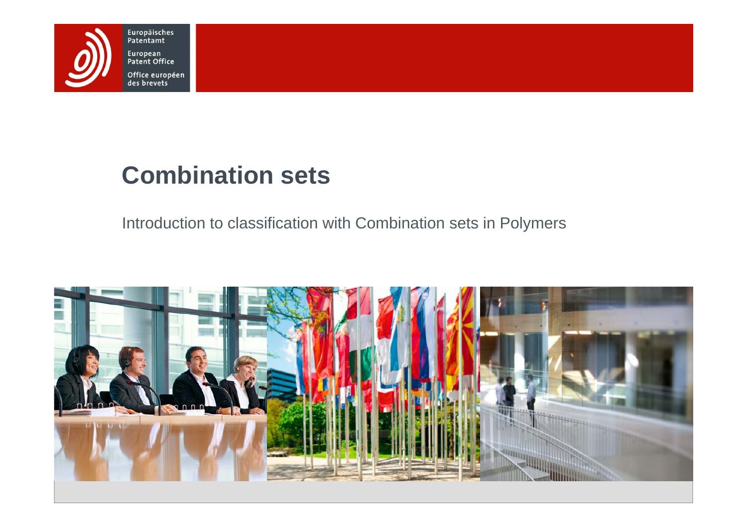

# **Combination sets**

Introduction to classification with Combination sets in Polymers

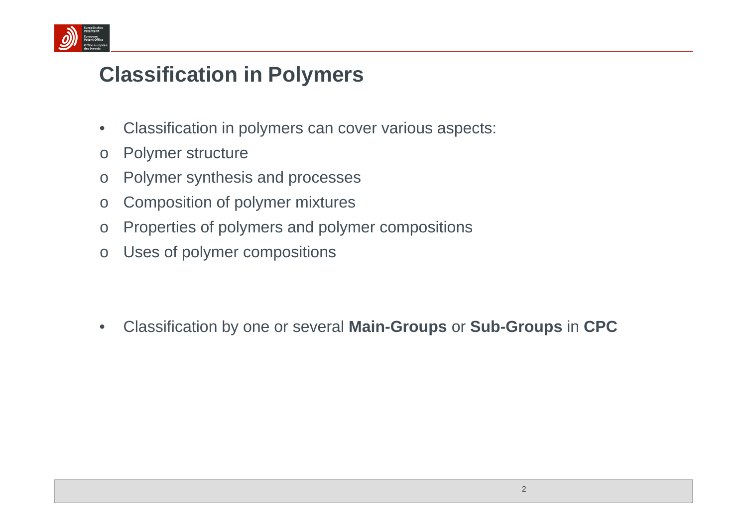

## **Classification in Polymers**

- $\bullet$ Classification in polymers can cover various aspects:
- oPolymer structure
- $\Omega$ Polymer synthesis and processes
- oComposition of polymer mixtures
- oProperties of polymers and polymer compositions
- oUses of polymer compositions

•Classification by one or several **Main-Groups** or **Sub-Groups** in **CPC**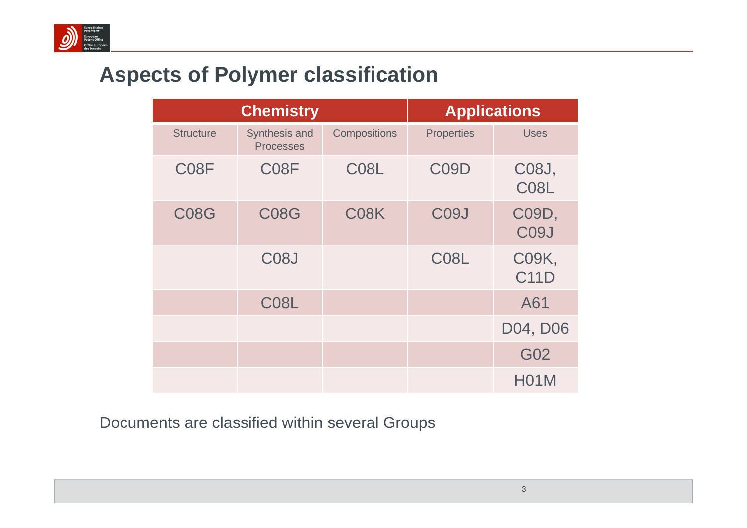

## **Aspects of Polymer classification**

|                   | <b>Chemistry</b>                  |                     |                   | <b>Applications</b>         |
|-------------------|-----------------------------------|---------------------|-------------------|-----------------------------|
| <b>Structure</b>  | Synthesis and<br><b>Processes</b> | <b>Compositions</b> | <b>Properties</b> | <b>Uses</b>                 |
| C <sub>0</sub> 8F | C <sub>08</sub> F                 | C08L                | C <sub>09</sub> D | C08J,<br>C <sub>08</sub> L  |
| <b>C08G</b>       | <b>C08G</b>                       | C08K                | C <sub>09</sub> J | C09D,<br>C <sub>09</sub> J  |
|                   | C <sub>08</sub> J                 |                     | C <sub>08</sub> L | <b>C09K,</b><br><b>C11D</b> |
|                   | C08L                              |                     |                   | A61                         |
|                   |                                   |                     |                   | D04, D06                    |
|                   |                                   |                     |                   | G02                         |
|                   |                                   |                     |                   | <b>H01M</b>                 |

Documents are classified within several Groups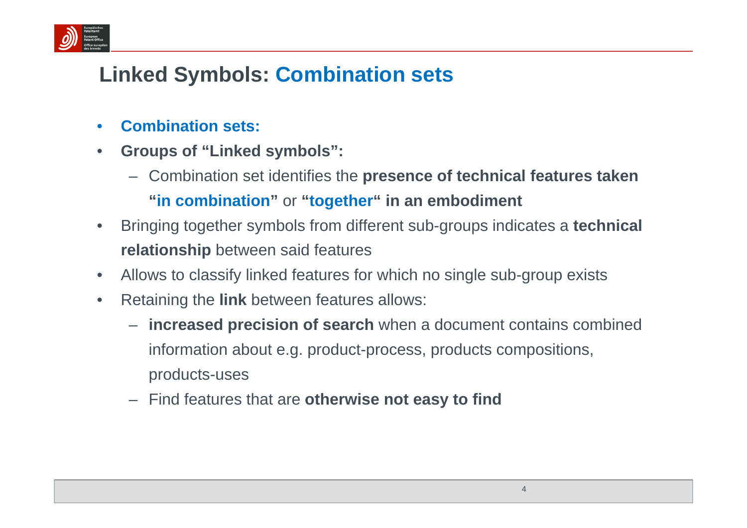

# **Linked Symbols: Combination sets**

- •**Combination sets:**
- • **Groups of "Linked symbols":** 
	- Combination set identifies the **presence of technical features taken "in combination"** or **"together" in an embodiment**
- • Bringing together symbols from different sub-groups indicates a **technical relationship** between said features
- •Allows to classify linked features for which no single sub-group exists
- $\bullet$  Retaining the **link** between features allows:
	- **increased precision of search** when a document contains combined information about e.g. product-process, products compositions, products-uses
	- Find features that are **otherwise not easy to find**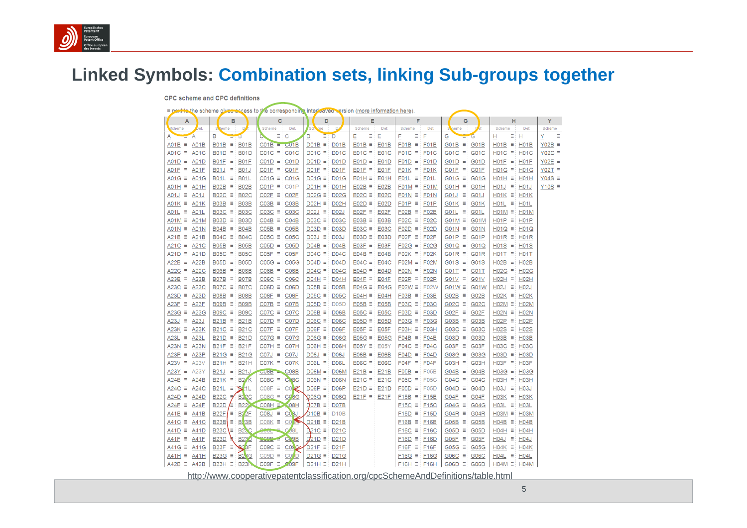

### **Linked Symbols: Combination sets, linking Sub-groups together**

|                              | <b>CPC</b> scheme and CPC definitions       |                                                                                                     |                                     |                                    |                                    |                       |                                    |               |
|------------------------------|---------------------------------------------|-----------------------------------------------------------------------------------------------------|-------------------------------------|------------------------------------|------------------------------------|-----------------------|------------------------------------|---------------|
|                              |                                             | E port to the scheme gives access to the corresponding interleaved version (more information here). |                                     |                                    |                                    |                       |                                    |               |
| A                            | в                                           | c                                                                                                   | D                                   | E                                  | F                                  | G                     | н                                  | Y             |
| Scheme<br>bef.               | S heme<br>D                                 | Def.<br>Scheme                                                                                      | 'Sch<br>me                          | Scheme<br>Def.                     | Scheme<br>Def.                     | heme                  | Scheme<br>Def.                     | Scheme        |
| Ά<br>Α                       | в<br>в                                      | Ξ.<br>C                                                                                             | Ξ<br>D<br>D                         | E<br>Е<br>Ξ                        | Ξ<br>F<br>F                        | G<br>G                | ≡⊟H<br>н                           | Y<br>Ξ        |
| $AO1B \equiv$<br>A01B        | $B01B \equiv$<br><b>B01B</b>                | $CO1B = CO1B$                                                                                       | $DO1B \equiv$<br>D <sub>0</sub> 1B  | $EO1B \equiv$<br>E01B              | $FO1B \equiv$<br>F01B              | $GO1B \equiv GO1B$    | $H01B \equiv$<br>H <sub>0</sub> 1B | $Y02B \equiv$ |
| $A01C \equiv$<br>A01C        | $B01D \equiv$<br><b>B01D</b>                | $CO1C \equiv CO1C$                                                                                  | D01C $\equiv$<br>D01C               | $EO1C \equiv$<br>E01C              | $FO1C \equiv$<br>F01C              | G01C $\equiv$ G01C    | $H01C \equiv$<br>H <sub>0</sub> 1C | Y02C $\equiv$ |
| $A01D \equiv$<br><b>A01D</b> | $B01F \equiv$<br><b>B01F</b>                | $CO1D \equiv$<br>C <sub>0</sub> 1D                                                                  | $DO1D \equiv$<br><b>D01D</b>        | $E01D \equiv$<br>E01D              | $FO1D \equiv$<br><b>F01D</b>       | $GO1D \equiv GO1D$    | $H01F \equiv$<br>H <sub>01</sub> F | Y02E $\equiv$ |
| $AO1F \equiv$<br>A01F        | $B01J \equiv$<br><b>B01J</b>                | $CO1F \equiv$<br>C01F                                                                               | $DO1F \equiv$<br>D <sub>01</sub> F  | $E01F \equiv$<br>E01F              | $FO1K \equiv$<br>F01K              | G01F $\equiv$ G01F    | $H01G \equiv$<br>H <sub>0</sub> 1G | $Y02T \equiv$ |
| $AO1G \equiv$<br>A01G        | $B01L \equiv$<br><b>B01L</b>                | $CO1G \equiv CO1G$                                                                                  | D01G $\equiv$<br><b>D01G</b>        | $E01H \equiv$<br>E01H              | $FO1L \equiv$<br>F01L              | G01G $\equiv$ G01G    | $H01H \equiv$<br>H <sub>01</sub> H | $Y04S \equiv$ |
| A01H ≡<br>A01H               | $BO2B \equiv$<br><b>B02B</b>                | $CO1P \equiv CO1P$                                                                                  | $DO1H \equiv$<br>D <sub>01</sub> H  | $EO2B \equiv$<br>E02B              | $F01M \equiv$<br>F01M              | $GO1H \equiv GO1H$    | $H01J \equiv$<br>H <sub>0</sub> 1J | $Y10S \equiv$ |
| $A01J \equiv$<br>A01J        | $BO2C \equiv$<br><b>B02C</b>                | $CO2F \equiv CO2F$                                                                                  | $D02G \equiv$<br><b>D02G</b>        | $E02C \equiv$<br><b>E02C</b>       | $F01N \equiv$<br>F01N              | G01J $\equiv$ G01J    | $H01K \equiv$<br>H <sub>01</sub> K |               |
| $AO1K \equiv$<br>A01K        | $B03B \equiv$<br>B <sub>03</sub> B          | $CO3B \equiv$<br>C <sub>03</sub> B                                                                  | $DO2H \equiv$<br>D <sub>02</sub> H  | $E02D \equiv$<br>E02D              | $FO1P \equiv$<br>F <sub>0</sub> 1P | $GO1K \equiv GO1K$    | $H01L \equiv$<br>H <sub>01</sub> L |               |
| $AO1L \equiv$<br>A01L        | $BO3C \equiv$<br><b>B03C</b>                | $CO3C \equiv$<br>C <sub>03</sub> C                                                                  | $D02J \equiv$<br>D02J               | E02F<br>$EO2F \equiv$              | $FO2B \equiv$<br>F02B              | G01L $\equiv$ G01L    | $H01M \equiv$<br>H <sub>0</sub> 1M |               |
| $A01M \equiv$<br>A01M        | $B03D \equiv$<br><b>B03D</b>                | CO4B<br>$CO4B \equiv$                                                                               | $D03C \equiv$<br><b>D03C</b>        | $EO3B \equiv$<br>E03B              | $FO2C \equiv$<br><b>F02C</b>       | $G01M \equiv G01M$    | $H01P \equiv$<br>H <sub>0</sub> 1P |               |
| $A01N \equiv$<br>A01N        | $BO4B \equiv$<br><b>B04B</b>                | $CO5B \equiv$<br>CO5B                                                                               | $D03D \equiv$<br>D <sub>03</sub> D  | $E03C \equiv$<br>E03C              | $FO2D \equiv$<br><b>F02D</b>       | $GO1N \equiv GO1N$    | $H01Q \equiv$<br>H <sub>0</sub> 1Q |               |
| $A21B \equiv$<br>A21B        | $BO4C \equiv$<br><b>B04C</b>                | $C05C \equiv$<br>C <sub>05</sub> C                                                                  | $D03J \equiv$<br>D <sub>03</sub> J  | $E03D \equiv$<br>E03D              | $FO2F \equiv$<br>F02F              | $G01P \equiv G01P$    | $H01R \equiv$<br><b>H01R</b>       |               |
| A21C $\equiv$<br>A21C        | $B05B \equiv$<br><b>B05B</b>                | $C05D \equiv$<br>C <sub>05</sub> D                                                                  | $DO4B \equiv$<br><b>D04B</b>        | $E03F \equiv$<br>E03F              | $FO2G \equiv$<br><b>F02G</b>       | $GO1Q \equiv GO1Q$    | $H01S \equiv$<br><b>H01S</b>       |               |
| $A21D \equiv$<br>A21D        | $BO5C \equiv$<br><b>B05C</b>                | $CO5F \equiv$<br>C05F                                                                               | $DO4C \equiv$<br><b>D04C</b>        | $EOAB \equiv$<br>E04B              | $FO2K \equiv$<br>F02K              | G01R $\equiv$ G01R    | $H01T \equiv$<br>H <sub>0</sub> 1T |               |
| $A22B \equiv$<br>A22B        | $B05D \equiv$<br><b>B05D</b>                | $C05G \equiv$<br>CO5G                                                                               | $DO4D \equiv$<br><b>D04D</b>        | E04C<br>$E04C \equiv$              | $FO2M \equiv$<br>F02M              | $GO1S \equiv GO1S$    | $H02B \equiv$<br>H <sub>02</sub> B |               |
| $A22C \equiv$<br>A22C        | $BO6B \equiv$<br><b>B06B</b>                | $CO6B \equiv$<br>C06B                                                                               | $D04G \equiv$<br><b>D04G</b>        | $E04D \equiv$<br>E04D              | $FO2N \equiv$<br><b>F02N</b>       | $G01T \equiv G01T$    | $H02G \equiv$<br>H02G              |               |
| $A23B \equiv$<br>A23B        | $BO7B \equiv$<br><b>B07B</b>                | $C06C \equiv$<br><b>C06C</b>                                                                        | $DO4H \equiv$<br>D04H               | $E04F \equiv$<br>E04F              | $FO2P \equiv$<br>F02P              | $GO1V \equiv SO1V$    | $HO2H \equiv$<br>HO2H              |               |
| $A23C \equiv$<br>A23C        | $BO7C \equiv$<br><b>B07C</b>                | $CO6D \equiv$<br>C <sub>0</sub> 6D                                                                  | $DO5B \equiv$<br>D <sub>05</sub> B  | E04G<br>$E04G \equiv$              | $FO2W \equiv$<br>F02W              | $GO1W \equiv$ G01W    | $H02J \equiv$<br>H <sub>02</sub> J |               |
| $A23D \equiv$<br>A23D        | $B08B \equiv$<br><b>B08B</b>                | $CO6F \equiv$<br>C06F                                                                               | $D05C \equiv$<br><b>D05C</b>        | $E04H \equiv$<br>E04H              | $FO3B \equiv$<br>F03B              | $GO2B \equiv GO2B$    | $H02K \equiv$<br>H <sub>02</sub> K |               |
| A23F $\equiv$<br>A23F        | $B09B \equiv$<br><b>B09B</b>                | $CO7B \equiv$<br>C07B                                                                               | $D05D \equiv$<br><b>D05D</b>        | $EO5B \equiv$<br>E05B              | $F03C \equiv$<br>F03C              | $GO2C \equiv GO2C$    | $H02M \equiv$<br><b>H02M</b>       |               |
| A23G<br>$A23G \equiv$        | B09C ≡<br><b>B09C</b>                       | $C07C \equiv$<br>C <sub>0</sub> 7 <sub>C</sub>                                                      | $DO6B \equiv$<br>D <sub>06</sub> B  | $E05C \equiv$<br>E05C              | $F03D \equiv$<br>F03D              | $G02F \equiv$<br>G02F | $H02N \equiv$<br>H <sub>02</sub> N |               |
| $A23J \equiv$<br>A23J        | $B21B \equiv$<br><b>B21B</b>                | $C07D \equiv$<br>C07D                                                                               | $DO6C \equiv DO6C$                  | $E05D \equiv$<br>E05D              | $F03G \equiv$<br><b>F03G</b>       | $G03B \equiv G03B$    | $H02P \equiv$<br>H <sub>02</sub> P |               |
| $A23K \equiv$<br>A23K        | $B21C \equiv$<br><b>B21C</b>                | $C07F \equiv$<br>C07F                                                                               | $DO6F \equiv$<br>D <sub>06</sub> F  | $E05F \equiv$<br>E05F              | F03H<br>$FO3H \equiv$              | G03C $\equiv$ G03C    | $H02S \equiv$<br><b>H02S</b>       |               |
| A23L<br>$A23L \equiv$        | $B21D \equiv$<br><b>B21D</b>                | $CO7G \equiv$<br>C07G                                                                               | $D06G \equiv$<br><b>D06G</b>        | $E05G \equiv$<br>E05G              | $FO4B \equiv$<br>F04B              | $GO3D \equiv GO3D$    | $H03B \equiv$<br>H <sub>03</sub> B |               |
| $A23N \equiv$<br><b>A23N</b> | $B21F \equiv$<br><b>B21F</b>                | $CO7H \equiv$<br>C <sub>07</sub> H                                                                  | $DOGH \equiv$<br>D <sub>06</sub> H  | $EO5Y \equiv EO5Y$                 | $FO4C \equiv$<br><b>F04C</b>       | $G03F \equiv G03F$    | $H03C \equiv$<br><b>H03C</b>       |               |
| $A23P \equiv$<br>A23P        | $B21G \equiv$<br><b>B21G</b>                | $CO7J \equiv$<br>C <sub>07</sub> J                                                                  | $D06J \equiv$<br>D <sub>06</sub> J  | $EO6B \equiv$<br><b>E06B</b>       | $FO4D \equiv$<br>F04D              | $G03G \equiv G03G$    | $H03D \equiv$<br>H <sub>03</sub> D |               |
| $A23V \equiv$<br>A23V        | <b>B21H</b><br>B21H ≡                       | $CO7K \equiv CO7K$                                                                                  | DO6L $\equiv$<br>D <sub>06</sub> L  | $E06C \equiv$<br><b>E06C</b>       | $FO4F \equiv$<br>F04F              | $GO3H \equiv GO3H$    | $H03F \equiv$<br>H <sub>03</sub> F |               |
| $A23Y \equiv$<br>A23Y        | $B21J \equiv$<br><b>B21J</b>                | C08B<br>$CUBB =$                                                                                    | $DO6M \equiv$<br>D <sub>06</sub> M  | $E21B \equiv$<br>E21B              | $F05B \equiv$<br>F05B              | $GO4B \equiv GO4B$    | $H03G \equiv$<br>H <sub>03</sub> G |               |
| $A24B \equiv$<br>A24B        | $B21K \equiv$<br><b>B24K</b>                | C08C<br>$C08C \equiv$                                                                               | $D06N \equiv$<br>D06N               | E21C<br>$E21C \equiv$              | $F05C \equiv$<br><b>F05C</b>       | $GO4C \equiv GO4C$    | $H03H \equiv$<br>H <sub>03</sub> H |               |
| A24C<br>$A24C \equiv$        | $B21L = 8/1L$                               | CO <sub>K</sub><br>$CO8F \equiv$                                                                    | $DO6P \equiv$<br>D <sub>06</sub> P  | $E21D \equiv$<br>E21D              | $F05D \equiv$<br>F <sub>05</sub> D | $GO4D \equiv$<br>G04D | $H03J \equiv$<br>H <sub>03</sub>   |               |
| $A24D \equiv$<br>A24D        | <b>B22C</b><br>B22C ∌                       | $CO8G \equiv$<br>CO <sub>8</sub> G                                                                  | $D06Q \equiv$<br>D06Q               | $E21F \equiv$<br>E <sub>21</sub> F | $F15B \equiv$<br><b>F15B</b>       | $G04F \equiv G04F$    | $H03K \equiv$<br>H <sub>03</sub> K |               |
| $A24F \equiv$<br>A24F        | <b>B22D</b><br>∕≡<br><b>B22</b>             | $COBH \equiv 08H$                                                                                   | $\overline{Q}$ 07B $\equiv$<br>D07B |                                    | F <sub>15</sub> C<br>$F15C \equiv$ | $G04G \equiv$<br>G04G | $H03L \equiv$<br>H <sub>03</sub> L |               |
| $A41B \equiv$<br>A41B        | <b>B22F</b><br>$\equiv$ B <sub>2</sub> $2F$ | $C08J \equiv$<br>CO <sub>3</sub> J                                                                  | $D10B \equiv$<br>D <sub>10</sub> B  |                                    | F15D<br>$F15D \equiv$              | $GO4R \equiv$<br>G04R | $H03M \equiv$<br>H <sub>03</sub> M |               |
| A41C $\equiv$<br>A41C        | <b>B23B</b><br>$\equiv$ B <sub>2</sub> 3B   | $C08K \equiv$<br>CO <sub>5</sub>                                                                    | $D21B \equiv$<br>D21B               |                                    | $F16B \equiv$<br>F16B              | $G05B \equiv G05B$    | $H04B \equiv$<br>H <sub>04</sub> B |               |
| $A41D \equiv$<br><b>A41D</b> | <b>B23C</b><br><b>B2SC</b><br>∖≡            | $C$ <sub>08</sub> L<br>DOOL                                                                         | $\Delta$ 21C =<br><b>D21C</b>       |                                    | F16C<br>$F16C \equiv$              | $G05D \equiv$<br>G05D | $H04H \equiv$<br>H04H              |               |
| A41F $\equiv$<br>A41F        | B23D<br><b>B230</b>                         | COOP<br>C <sub>09</sub> B                                                                           | $D/21D \equiv$<br>D <sub>21</sub> D |                                    | <b>F16D</b><br>$F16D \equiv$       | $G05F \equiv$<br>G05F | $H04J \equiv$<br>H <sub>04</sub> J |               |
| $A41G \equiv$<br>A41G        | $B23F \equiv$<br>82 BF                      | $C09C \equiv$<br>COS <sub>C</sub>                                                                   | $D21F \equiv$<br>D <sub>21</sub> F  |                                    | $F16F \equiv$<br>F <sub>16</sub> F | G05G $\equiv$ G05G    | $H04K \equiv$<br>H <sub>04</sub> K |               |
| $A41H \equiv$<br>A41H        | $B23G \equiv$<br><b>B23G</b>                | $C09D \equiv$<br>CO <sub>D</sub>                                                                    | $D21G \equiv$<br><b>D21G</b>        |                                    | <b>F16G</b><br>$F16G \equiv$       | G06C $\equiv$<br>G06C | $H04L \equiv$<br><b>H04L</b>       |               |
| $A42B \equiv$<br>A42B        | <b>B23H</b><br>$B23H \equiv$                | $C09F \equiv$<br>CO <sub>9</sub> F                                                                  | $D21H \equiv$<br>D21H               |                                    | $F16H \equiv$<br><b>F16H</b>       | $G06D \equiv G06D$    | $H04M \equiv$<br>H04M              |               |

http://www.cooperativepatentclassification.org/cpcSchemeAndDefinitions/table.html

5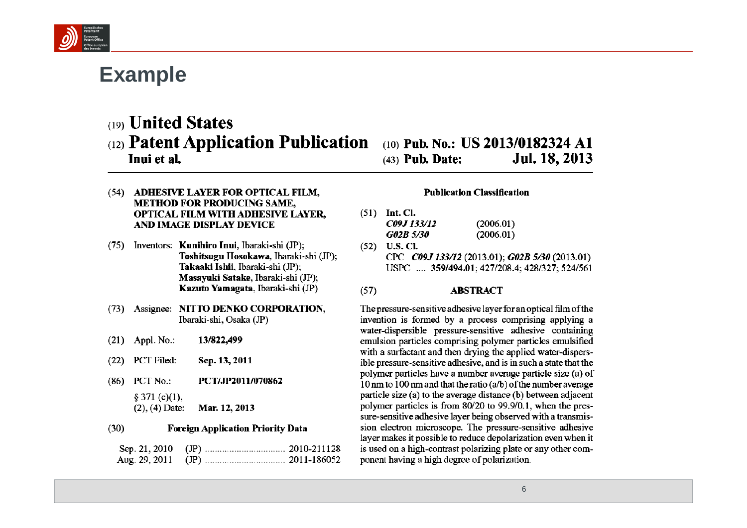

## **Example**

(19) **United States** 

### (12) Patent Application Publication (10) Pub. No.: US 2013/0182324 A1 Inui et al.

- (54) ADHESIVE LAYER FOR OPTICAL FILM, **METHOD FOR PRODUCING SAME, OPTICAL FILM WITH ADHESIVE LAYER.** AND IMAGE DISPLAY DEVICE
- (75) Inventors: Kunihiro Inui, Ibaraki-shi (JP); Toshitsugu Hosokawa, Ibaraki-shi (JP); Takaaki Ishii. Ibaraki-shi (JP): Masavuki Satake, Ibaraki-shi (JP); Kazuto Yamagata, Ibaraki-shi (JP)
- (73) Assignee: NITTO DENKO CORPORATION, Ibaraki-shi, Osaka (JP)
- $(21)$  Appl. No.: 13/822,499
- PCT Filed: Sep. 13, 2011  $(22)$
- (86) PCT No.: PCT/JP2011/070862  $§ 371 (c)(1),$ 
	- $(2)$ ,  $(4)$  Date: Mar. 12, 2013

#### $(30)$ **Foreign Application Priority Data**

### Jul. 18, 2013  $(43)$  Pub. Date:

### **Publication Classification**

- $(51)$  Int. Cl. C09J 133/12  $(2006.01)$ **G02B 5/30**  $(2006.01)$
- $(52)$  U.S. Cl. CPC C09J 133/12 (2013.01); G02B 5/30 (2013.01) USPC ... 359/494.01: 427/208.4: 428/327: 524/561

#### $(57)$ **ABSTRACT**

The pressure-sensitive adhesive layer for an optical film of the invention is formed by a process comprising applying a water-dispersible pressure-sensitive adhesive containing emulsion particles comprising polymer particles emulsified with a surfactant and then drying the applied water-dispersible pressure-sensitive adhesive, and is in such a state that the polymer particles have a number average particle size (a) of 10 nm to 100 nm and that the ratio  $(a/b)$  of the number average particle size (a) to the average distance (b) between adjacent polymer particles is from 80/20 to 99.9/0.1, when the pressure-sensitive adhesive layer being observed with a transmission electron microscope. The pressure-sensitive adhesive layer makes it possible to reduce depolarization even when it is used on a high-contrast polarizing plate or any other component having a high degree of polarization.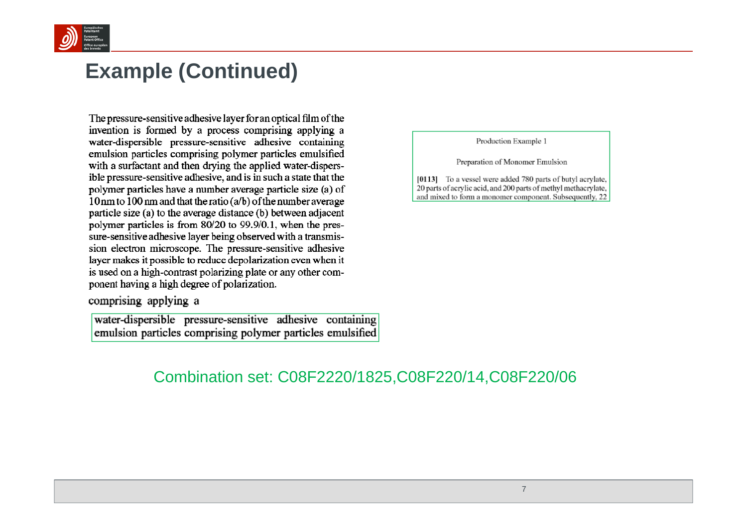

### **Example (Continued)**

The pressure-sensitive adhesive layer for an optical film of the e, water-dispersible pressure-sensitive adhesive containing emulsion particles comprising polymer particles emulsified with a surfactant and then drying the applied water-dispersible pressure-sensitive adhesive, and is in such a state that the polymer particles have a number average particle size (a) of 10 nm to 100 nm and that the ratio (a/b) of the number average particle size (a) to the average distance (b) between adjacent polymer particles is from 80/20 to 99.9/0.1, when the pressure-sensitive adhesive layer being observed with a transmission electron microscope. The pressure-sensitive adhesive layer makes it possible to reduce depolarization even when it is used on a high-contrast polarizing plate or any other component having a high degree of polarization.

comprising applying a

water-dispersible pressure-sensitive adhesive containing emulsion particles comprising polymer particles emulsified Production Example 1

Preparation of Monomer Emulsion

[0113] To a vessel were added 780 parts of butyl acrylate, 20 parts of acrylic acid, and 200 parts of methyl methacrylate, and mixed to form a monomer component. Subsequently, 22

### Combination set: C08F2220/1825,C08F220/14,C08F220/06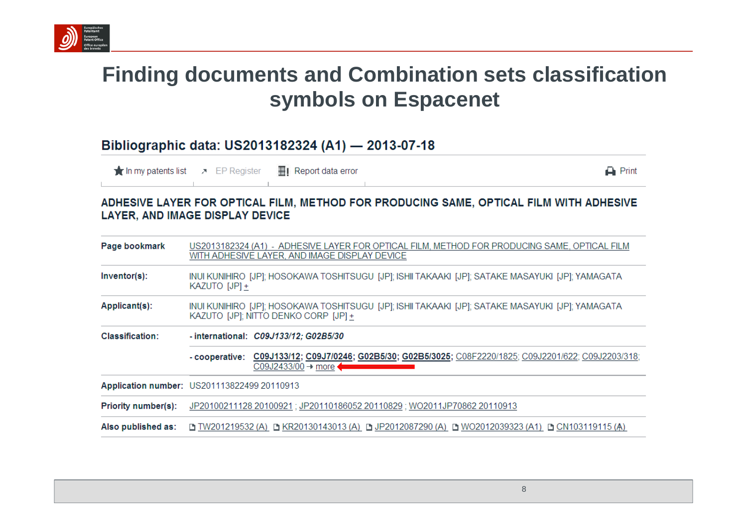

# **Finding documents and Combination sets classification symbols on Espacenet**

### Bibliographic data: US2013182324 (A1) - 2013-07-18

**The In my patents list**  $\lambda$  EP Register ■I Report data error  $\rightharpoonup$  Print

### ADHESIVE LAYER FOR OPTICAL FILM, METHOD FOR PRODUCING SAME, OPTICAL FILM WITH ADHESIVE LAYER, AND IMAGE DISPLAY DEVICE

| Page bookmark              | US2013182324 (A1) - ADHESIVE LAYER FOR OPTICAL FILM, METHOD FOR PRODUCING SAME, OPTICAL FILM<br>WITH ADHESIVE LAYER, AND IMAGE DISPLAY DEVICE |  |  |  |
|----------------------------|-----------------------------------------------------------------------------------------------------------------------------------------------|--|--|--|
| $Inventor(s)$ :            | INUI KUNIHIRO [JP]; HOSOKAWA TOSHITSUGU [JP]; ISHII TAKAAKI [JP]; SATAKE MASAYUKI [JP]; YAMAGATA<br>KAZUTO [JP] +                             |  |  |  |
| Applicant(s):              | INUI KUNIHIRO [JP]; HOSOKAWA TOSHITSUGU [JP]; ISHII TAKAAKI [JP]; SATAKE MASAYUKI [JP]; YAMAGATA<br>KAZUTO [JP]; NITTO DENKO CORP [JP] +      |  |  |  |
| Classification:            | - international: $C09J133/12$ ; $G02B5/30$                                                                                                    |  |  |  |
|                            | C09J133/12; C09J7/0246; G02B5/30; G02B5/3025; C08F2220/1825; C09J2201/622; C09J2203/318;<br>- cooperative:<br>$CO9J2433/00 \rightarrow$ more  |  |  |  |
|                            | Application number: US201113822499 20110913                                                                                                   |  |  |  |
| <b>Priority number(s):</b> | JP20100211128 20100921; JP20110186052 20110829; WO2011JP70862 20110913                                                                        |  |  |  |
|                            | Also published as:     D TW201219532 (A)  D KR20130143013 (A)  D P2012087290 (A)  D WO2012039323 (A1)  D CN103119115 (A)                      |  |  |  |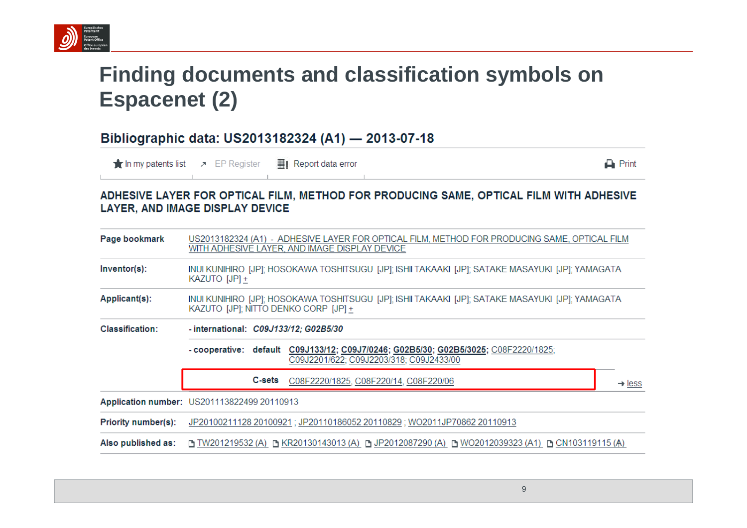

# **Finding documents and classification symbols on Espacenet (2)**

### Bibliographic data: US2013182324 (A1) - 2013-07-18

 $\frac{1}{\sqrt{2}}$  In my patents list  $\rightarrow$  EP Register  $\frac{1}{2}$  Report data error

 $\Box$  Print

### ADHESIVE LAYER FOR OPTICAL FILM, METHOD FOR PRODUCING SAME, OPTICAL FILM WITH ADHESIVE **LAYER, AND IMAGE DISPLAY DEVICE**

| Page bookmark       | US2013182324 (A1) - ADHESIVE LAYER FOR OPTICAL FILM, METHOD FOR PRODUCING SAME, OPTICAL FILM<br>WITH ADHESIVE LAYER, AND IMAGE DISPLAY DEVICE |                    |  |  |
|---------------------|-----------------------------------------------------------------------------------------------------------------------------------------------|--------------------|--|--|
| $Inventor(s)$ :     | INUI KUNIHIRO [JP]; HOSOKAWA TOSHITSUGU [JP]; ISHII TAKAAKI [JP]; SATAKE MASAYUKI [JP]; YAMAGATA<br>KAZUTO [JP] +                             |                    |  |  |
| Applicant(s):       | INUI KUNIHIRO [JP]; HOSOKAWA TOSHITSUGU [JP]; ISHII TAKAAKI [JP]; SATAKE MASAYUKI [JP]; YAMAGATA<br>KAZUTO [JP]; NITTO DENKO CORP [JP] +      |                    |  |  |
| Classification:     | - international: C09J133/12; G02B5/30                                                                                                         |                    |  |  |
|                     | default C09J133/12; C09J7/0246; G02B5/30; G02B5/3025; C08F2220/1825;<br>- cooperative:<br>C09J2201/622; C09J2203/318; C09J2433/00             |                    |  |  |
|                     | <b>C-sets</b><br>C08F2220/1825, C08F220/14, C08F220/06                                                                                        | $\rightarrow$ less |  |  |
|                     | Application number: US201113822499 20110913                                                                                                   |                    |  |  |
| Priority number(s): | JP20100211128 20100921; JP20110186052 20110829; WO2011JP70862 20110913                                                                        |                    |  |  |
| Also published as:  | D TW201219532 (A) D KR20130143013 (A) D JP2012087290 (A) D WO2012039323 (A1) D CN103119115 (A)                                                |                    |  |  |